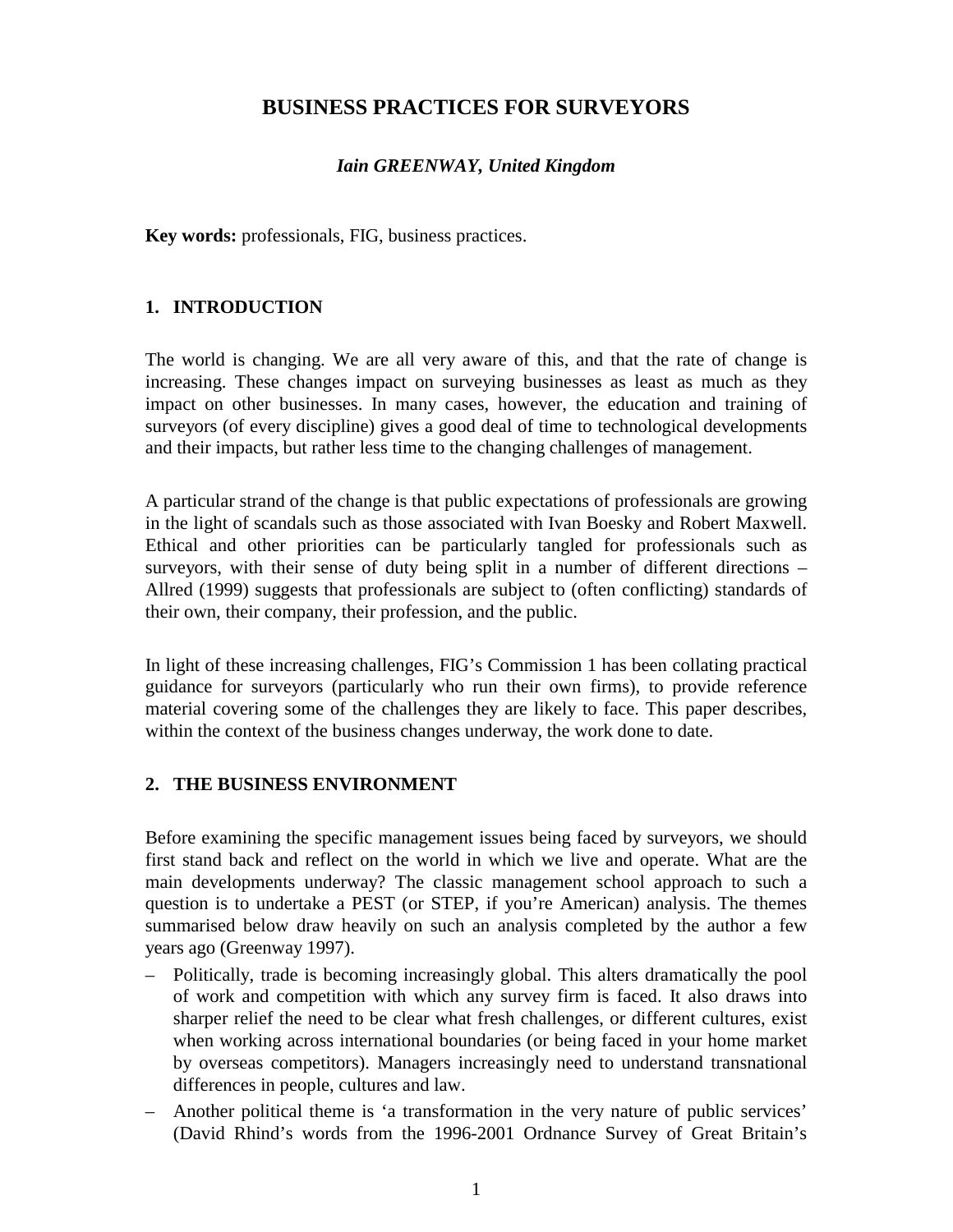# **BUSINESS PRACTICES FOR SURVEYORS**

### *Iain GREENWAY, United Kingdom*

**Key words:** professionals, FIG, business practices.

### **1. INTRODUCTION**

The world is changing. We are all very aware of this, and that the rate of change is increasing. These changes impact on surveying businesses as least as much as they impact on other businesses. In many cases, however, the education and training of surveyors (of every discipline) gives a good deal of time to technological developments and their impacts, but rather less time to the changing challenges of management.

A particular strand of the change is that public expectations of professionals are growing in the light of scandals such as those associated with Ivan Boesky and Robert Maxwell. Ethical and other priorities can be particularly tangled for professionals such as surveyors, with their sense of duty being split in a number of different directions – Allred (1999) suggests that professionals are subject to (often conflicting) standards of their own, their company, their profession, and the public.

In light of these increasing challenges, FIG's Commission 1 has been collating practical guidance for surveyors (particularly who run their own firms), to provide reference material covering some of the challenges they are likely to face. This paper describes, within the context of the business changes underway, the work done to date.

### **2. THE BUSINESS ENVIRONMENT**

Before examining the specific management issues being faced by surveyors, we should first stand back and reflect on the world in which we live and operate. What are the main developments underway? The classic management school approach to such a question is to undertake a PEST (or STEP, if you're American) analysis. The themes summarised below draw heavily on such an analysis completed by the author a few years ago (Greenway 1997).

- Politically, trade is becoming increasingly global. This alters dramatically the pool of work and competition with which any survey firm is faced. It also draws into sharper relief the need to be clear what fresh challenges, or different cultures, exist when working across international boundaries (or being faced in your home market by overseas competitors). Managers increasingly need to understand transnational differences in people, cultures and law.
- Another political theme is 'a transformation in the very nature of public services' (David Rhind's words from the 1996-2001 Ordnance Survey of Great Britain's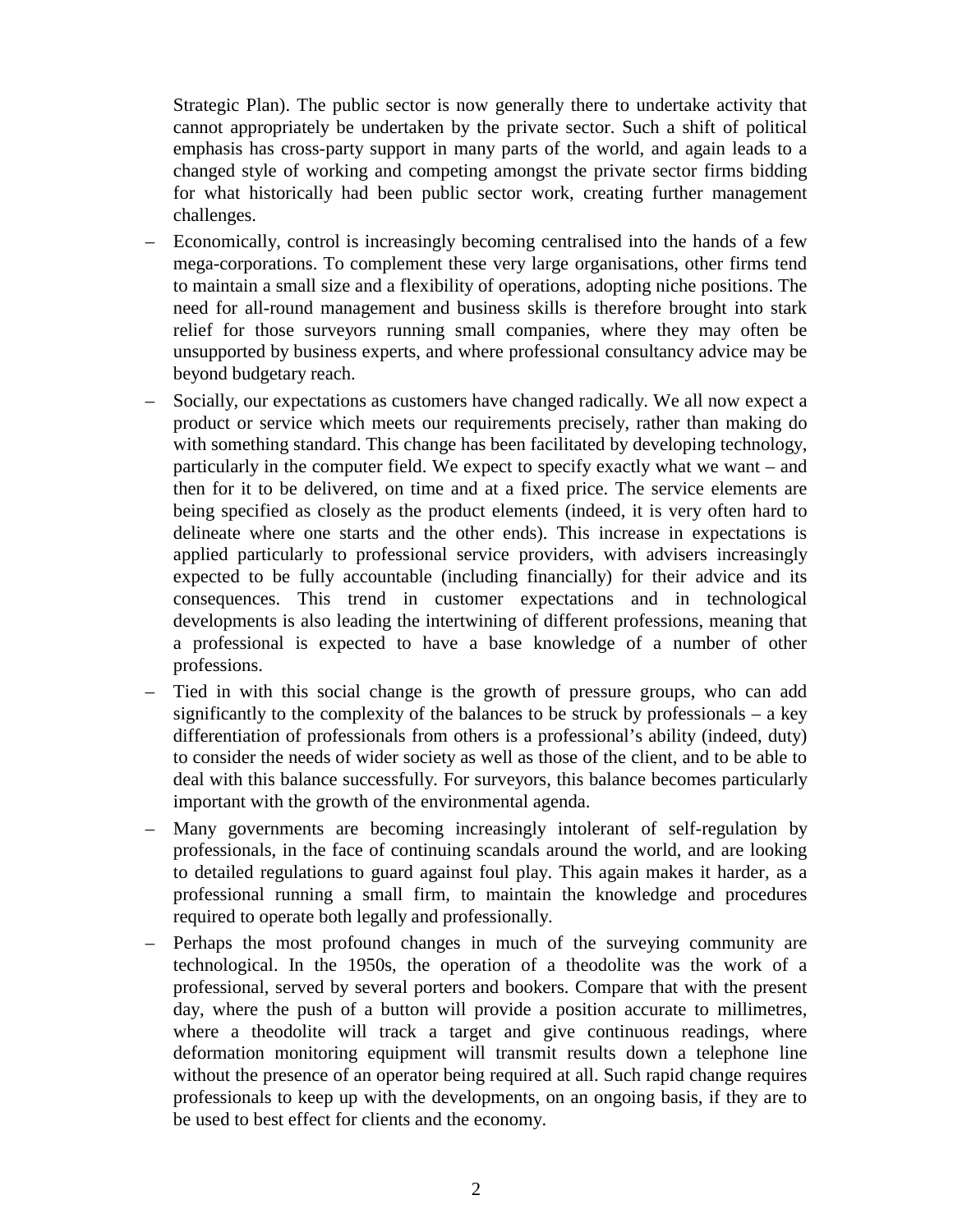Strategic Plan). The public sector is now generally there to undertake activity that cannot appropriately be undertaken by the private sector. Such a shift of political emphasis has cross-party support in many parts of the world, and again leads to a changed style of working and competing amongst the private sector firms bidding for what historically had been public sector work, creating further management challenges.

- Economically, control is increasingly becoming centralised into the hands of a few mega-corporations. To complement these very large organisations, other firms tend to maintain a small size and a flexibility of operations, adopting niche positions. The need for all-round management and business skills is therefore brought into stark relief for those surveyors running small companies, where they may often be unsupported by business experts, and where professional consultancy advice may be beyond budgetary reach.
- Socially, our expectations as customers have changed radically. We all now expect a product or service which meets our requirements precisely, rather than making do with something standard. This change has been facilitated by developing technology, particularly in the computer field. We expect to specify exactly what we want – and then for it to be delivered, on time and at a fixed price. The service elements are being specified as closely as the product elements (indeed, it is very often hard to delineate where one starts and the other ends). This increase in expectations is applied particularly to professional service providers, with advisers increasingly expected to be fully accountable (including financially) for their advice and its consequences. This trend in customer expectations and in technological developments is also leading the intertwining of different professions, meaning that a professional is expected to have a base knowledge of a number of other professions.
- Tied in with this social change is the growth of pressure groups, who can add significantly to the complexity of the balances to be struck by professionals – a key differentiation of professionals from others is a professional's ability (indeed, duty) to consider the needs of wider society as well as those of the client, and to be able to deal with this balance successfully. For surveyors, this balance becomes particularly important with the growth of the environmental agenda.
- Many governments are becoming increasingly intolerant of self-regulation by professionals, in the face of continuing scandals around the world, and are looking to detailed regulations to guard against foul play. This again makes it harder, as a professional running a small firm, to maintain the knowledge and procedures required to operate both legally and professionally.
- Perhaps the most profound changes in much of the surveying community are technological. In the 1950s, the operation of a theodolite was the work of a professional, served by several porters and bookers. Compare that with the present day, where the push of a button will provide a position accurate to millimetres, where a theodolite will track a target and give continuous readings, where deformation monitoring equipment will transmit results down a telephone line without the presence of an operator being required at all. Such rapid change requires professionals to keep up with the developments, on an ongoing basis, if they are to be used to best effect for clients and the economy.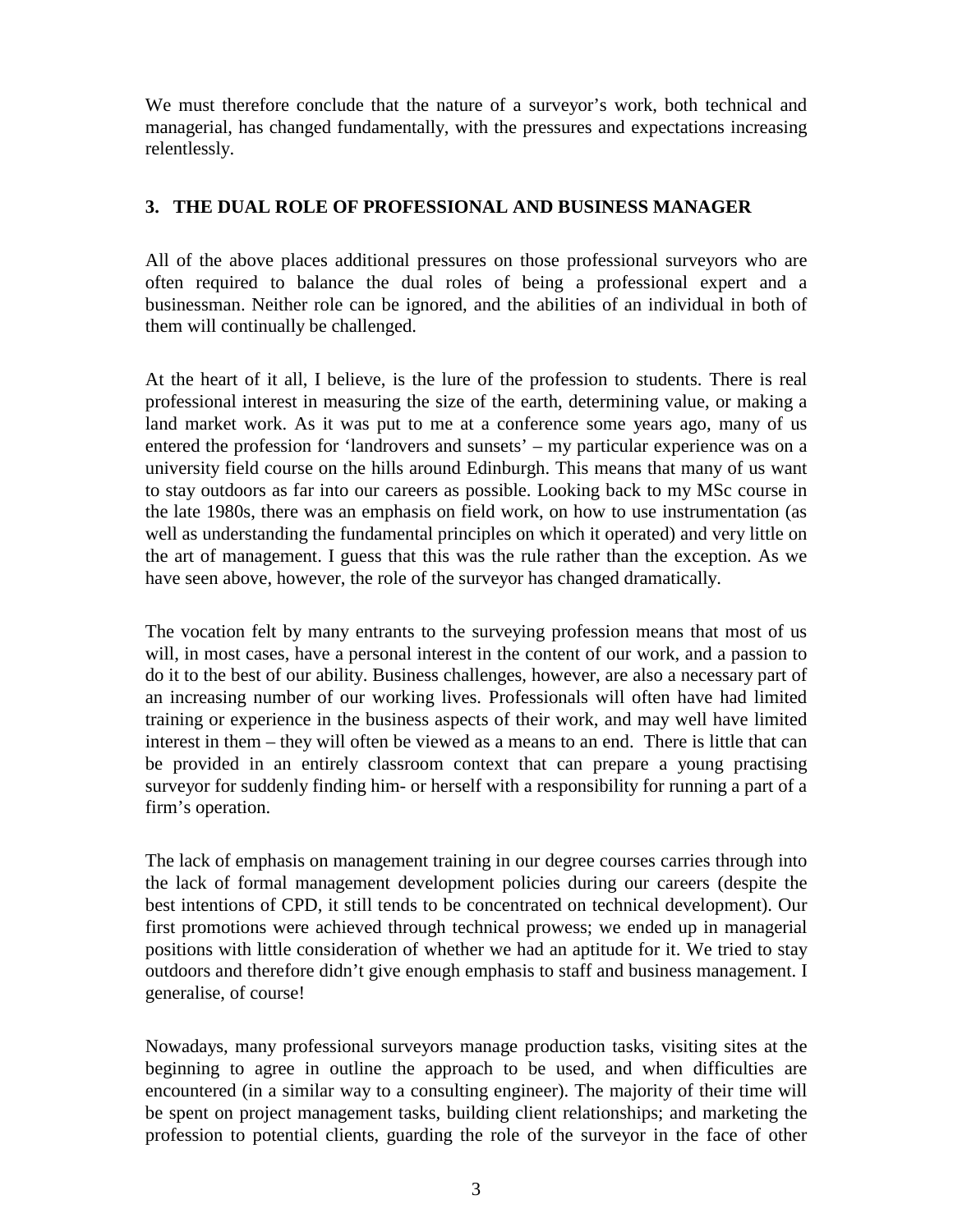We must therefore conclude that the nature of a surveyor's work, both technical and managerial, has changed fundamentally, with the pressures and expectations increasing relentlessly.

## **3. THE DUAL ROLE OF PROFESSIONAL AND BUSINESS MANAGER**

All of the above places additional pressures on those professional surveyors who are often required to balance the dual roles of being a professional expert and a businessman. Neither role can be ignored, and the abilities of an individual in both of them will continually be challenged.

At the heart of it all, I believe, is the lure of the profession to students. There is real professional interest in measuring the size of the earth, determining value, or making a land market work. As it was put to me at a conference some years ago, many of us entered the profession for 'landrovers and sunsets' – my particular experience was on a university field course on the hills around Edinburgh. This means that many of us want to stay outdoors as far into our careers as possible. Looking back to my MSc course in the late 1980s, there was an emphasis on field work, on how to use instrumentation (as well as understanding the fundamental principles on which it operated) and very little on the art of management. I guess that this was the rule rather than the exception. As we have seen above, however, the role of the surveyor has changed dramatically.

The vocation felt by many entrants to the surveying profession means that most of us will, in most cases, have a personal interest in the content of our work, and a passion to do it to the best of our ability. Business challenges, however, are also a necessary part of an increasing number of our working lives. Professionals will often have had limited training or experience in the business aspects of their work, and may well have limited interest in them – they will often be viewed as a means to an end. There is little that can be provided in an entirely classroom context that can prepare a young practising surveyor for suddenly finding him- or herself with a responsibility for running a part of a firm's operation.

The lack of emphasis on management training in our degree courses carries through into the lack of formal management development policies during our careers (despite the best intentions of CPD, it still tends to be concentrated on technical development). Our first promotions were achieved through technical prowess; we ended up in managerial positions with little consideration of whether we had an aptitude for it. We tried to stay outdoors and therefore didn't give enough emphasis to staff and business management. I generalise, of course!

Nowadays, many professional surveyors manage production tasks, visiting sites at the beginning to agree in outline the approach to be used, and when difficulties are encountered (in a similar way to a consulting engineer). The majority of their time will be spent on project management tasks, building client relationships; and marketing the profession to potential clients, guarding the role of the surveyor in the face of other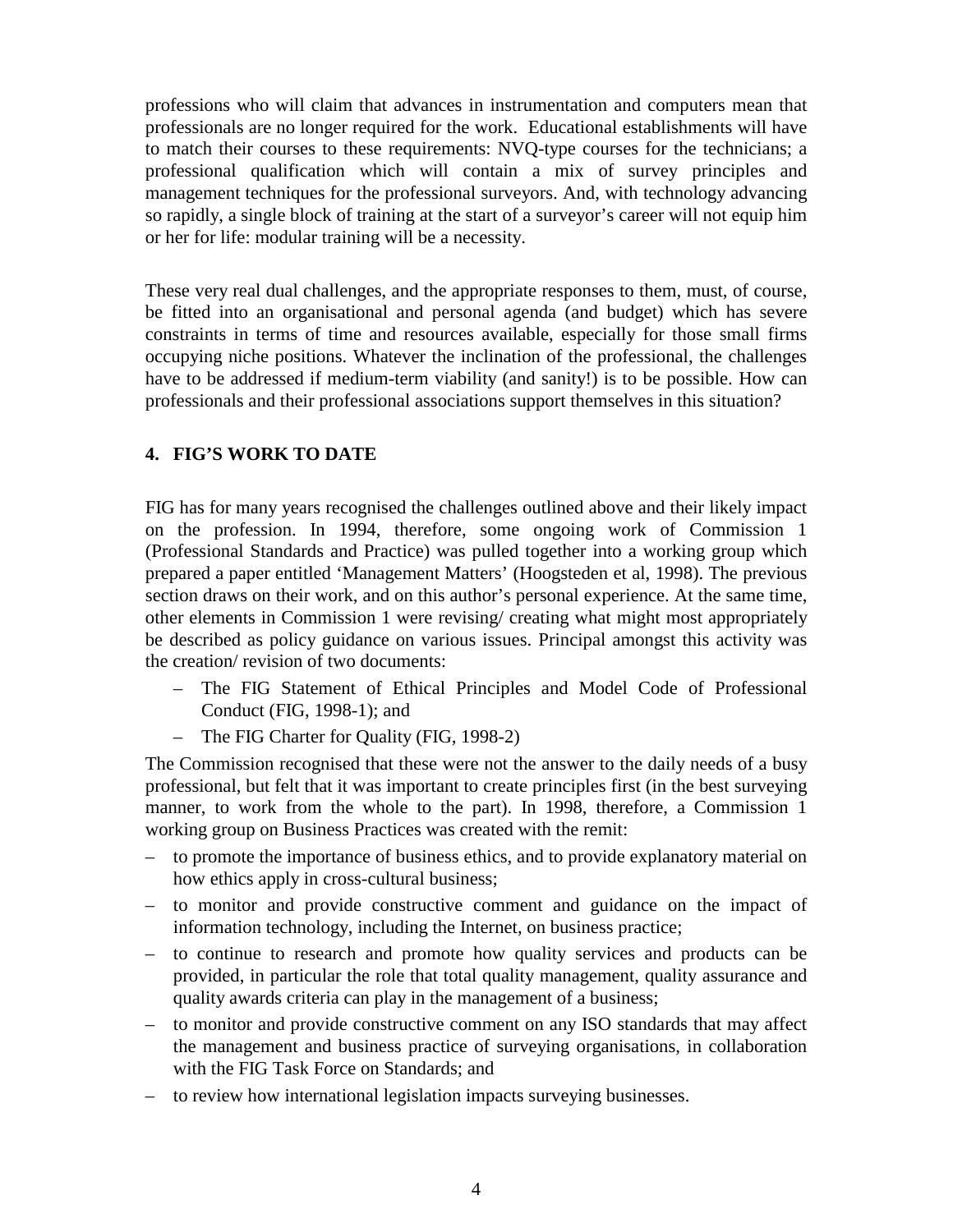professions who will claim that advances in instrumentation and computers mean that professionals are no longer required for the work. Educational establishments will have to match their courses to these requirements: NVQ-type courses for the technicians; a professional qualification which will contain a mix of survey principles and management techniques for the professional surveyors. And, with technology advancing so rapidly, a single block of training at the start of a surveyor's career will not equip him or her for life: modular training will be a necessity.

These very real dual challenges, and the appropriate responses to them, must, of course, be fitted into an organisational and personal agenda (and budget) which has severe constraints in terms of time and resources available, especially for those small firms occupying niche positions. Whatever the inclination of the professional, the challenges have to be addressed if medium-term viability (and sanity!) is to be possible. How can professionals and their professional associations support themselves in this situation?

# **4. FIG'S WORK TO DATE**

FIG has for many years recognised the challenges outlined above and their likely impact on the profession. In 1994, therefore, some ongoing work of Commission 1 (Professional Standards and Practice) was pulled together into a working group which prepared a paper entitled 'Management Matters' (Hoogsteden et al, 1998). The previous section draws on their work, and on this author's personal experience. At the same time, other elements in Commission 1 were revising/ creating what might most appropriately be described as policy guidance on various issues. Principal amongst this activity was the creation/ revision of two documents:

- The FIG Statement of Ethical Principles and Model Code of Professional Conduct (FIG, 1998-1); and
- The FIG Charter for Quality (FIG, 1998-2)

The Commission recognised that these were not the answer to the daily needs of a busy professional, but felt that it was important to create principles first (in the best surveying manner, to work from the whole to the part). In 1998, therefore, a Commission 1 working group on Business Practices was created with the remit:

- to promote the importance of business ethics, and to provide explanatory material on how ethics apply in cross-cultural business;
- to monitor and provide constructive comment and guidance on the impact of information technology, including the Internet, on business practice;
- to continue to research and promote how quality services and products can be provided, in particular the role that total quality management, quality assurance and quality awards criteria can play in the management of a business;
- to monitor and provide constructive comment on any ISO standards that may affect the management and business practice of surveying organisations, in collaboration with the FIG Task Force on Standards; and
- to review how international legislation impacts surveying businesses.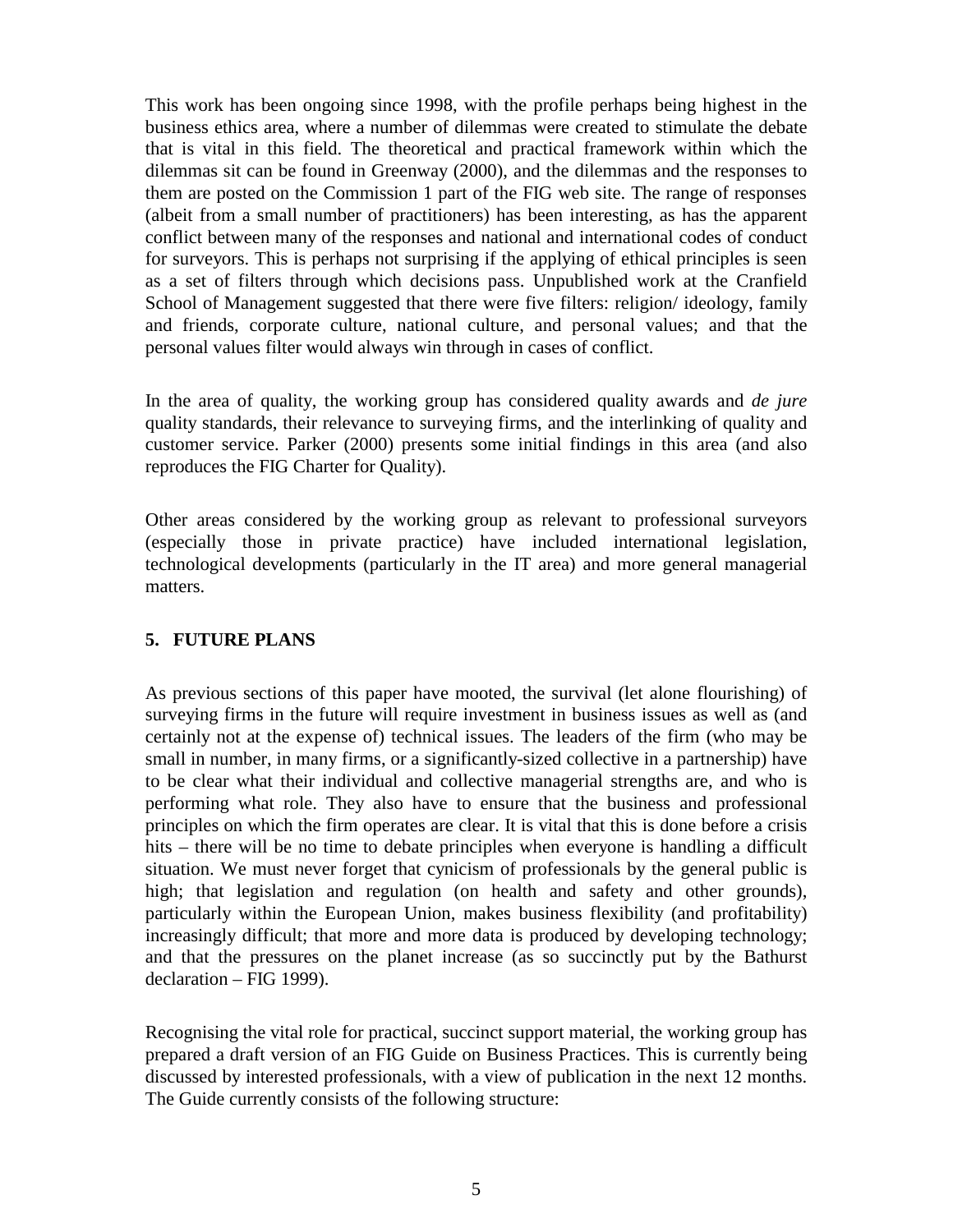This work has been ongoing since 1998, with the profile perhaps being highest in the business ethics area, where a number of dilemmas were created to stimulate the debate that is vital in this field. The theoretical and practical framework within which the dilemmas sit can be found in Greenway (2000), and the dilemmas and the responses to them are posted on the Commission 1 part of the FIG web site. The range of responses (albeit from a small number of practitioners) has been interesting, as has the apparent conflict between many of the responses and national and international codes of conduct for surveyors. This is perhaps not surprising if the applying of ethical principles is seen as a set of filters through which decisions pass. Unpublished work at the Cranfield School of Management suggested that there were five filters: religion/ ideology, family and friends, corporate culture, national culture, and personal values; and that the personal values filter would always win through in cases of conflict.

In the area of quality, the working group has considered quality awards and *de jure* quality standards, their relevance to surveying firms, and the interlinking of quality and customer service. Parker (2000) presents some initial findings in this area (and also reproduces the FIG Charter for Quality).

Other areas considered by the working group as relevant to professional surveyors (especially those in private practice) have included international legislation, technological developments (particularly in the IT area) and more general managerial matters.

### **5. FUTURE PLANS**

As previous sections of this paper have mooted, the survival (let alone flourishing) of surveying firms in the future will require investment in business issues as well as (and certainly not at the expense of) technical issues. The leaders of the firm (who may be small in number, in many firms, or a significantly-sized collective in a partnership) have to be clear what their individual and collective managerial strengths are, and who is performing what role. They also have to ensure that the business and professional principles on which the firm operates are clear. It is vital that this is done before a crisis hits – there will be no time to debate principles when everyone is handling a difficult situation. We must never forget that cynicism of professionals by the general public is high; that legislation and regulation (on health and safety and other grounds), particularly within the European Union, makes business flexibility (and profitability) increasingly difficult; that more and more data is produced by developing technology; and that the pressures on the planet increase (as so succinctly put by the Bathurst declaration – FIG 1999).

Recognising the vital role for practical, succinct support material, the working group has prepared a draft version of an FIG Guide on Business Practices. This is currently being discussed by interested professionals, with a view of publication in the next 12 months. The Guide currently consists of the following structure: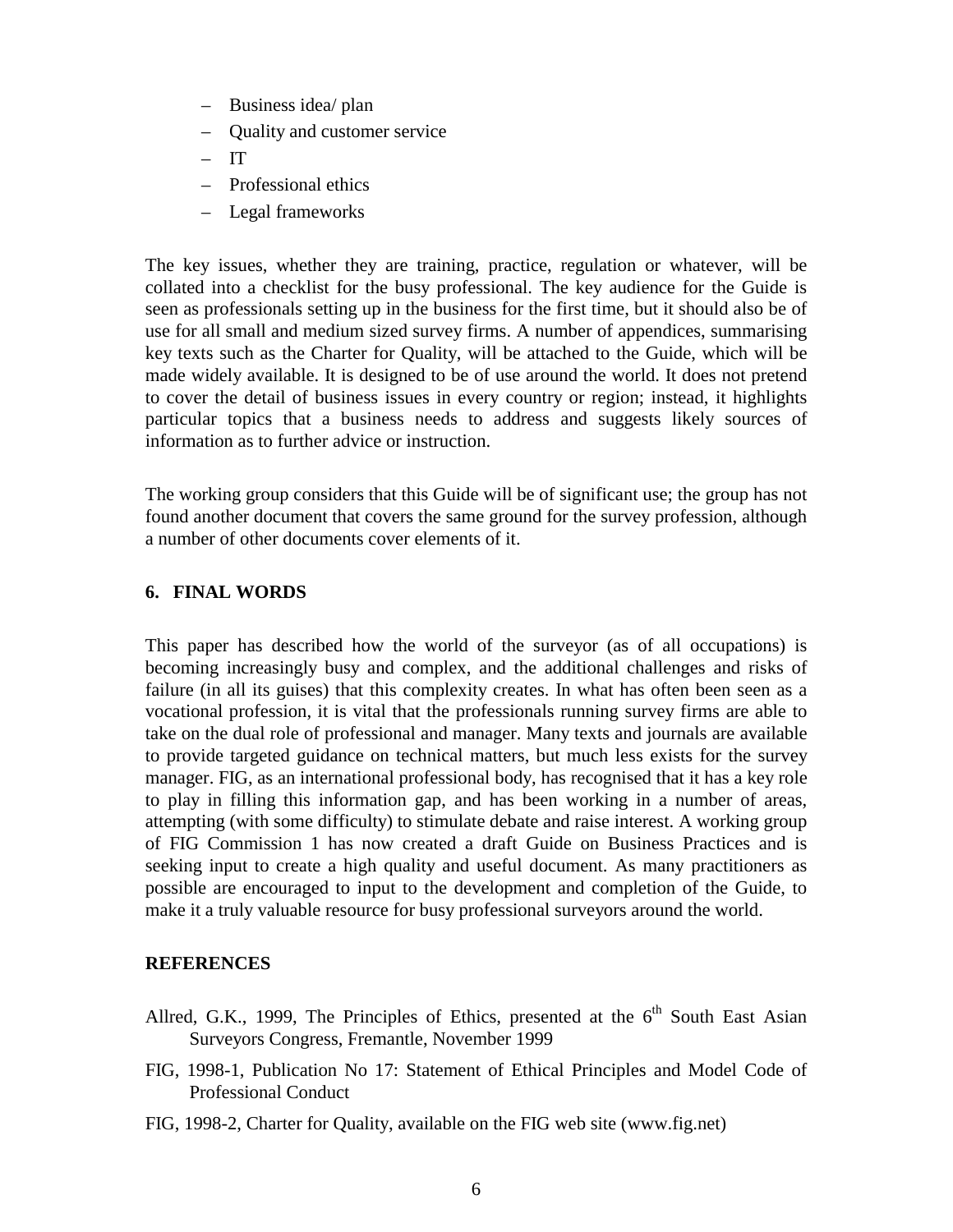- Business idea/ plan
- Quality and customer service
- $-$  IT
- Professional ethics
- Legal frameworks

The key issues, whether they are training, practice, regulation or whatever, will be collated into a checklist for the busy professional. The key audience for the Guide is seen as professionals setting up in the business for the first time, but it should also be of use for all small and medium sized survey firms. A number of appendices, summarising key texts such as the Charter for Quality, will be attached to the Guide, which will be made widely available. It is designed to be of use around the world. It does not pretend to cover the detail of business issues in every country or region; instead, it highlights particular topics that a business needs to address and suggests likely sources of information as to further advice or instruction.

The working group considers that this Guide will be of significant use; the group has not found another document that covers the same ground for the survey profession, although a number of other documents cover elements of it.

### **6. FINAL WORDS**

This paper has described how the world of the surveyor (as of all occupations) is becoming increasingly busy and complex, and the additional challenges and risks of failure (in all its guises) that this complexity creates. In what has often been seen as a vocational profession, it is vital that the professionals running survey firms are able to take on the dual role of professional and manager. Many texts and journals are available to provide targeted guidance on technical matters, but much less exists for the survey manager. FIG, as an international professional body, has recognised that it has a key role to play in filling this information gap, and has been working in a number of areas, attempting (with some difficulty) to stimulate debate and raise interest. A working group of FIG Commission 1 has now created a draft Guide on Business Practices and is seeking input to create a high quality and useful document. As many practitioners as possible are encouraged to input to the development and completion of the Guide, to make it a truly valuable resource for busy professional surveyors around the world.

## **REFERENCES**

- Allred, G.K., 1999, The Principles of Ethics, presented at the  $6<sup>th</sup>$  South East Asian Surveyors Congress, Fremantle, November 1999
- FIG, 1998-1, Publication No 17: Statement of Ethical Principles and Model Code of Professional Conduct
- FIG, 1998-2, Charter for Quality, available on the FIG web site (www.fig.net)